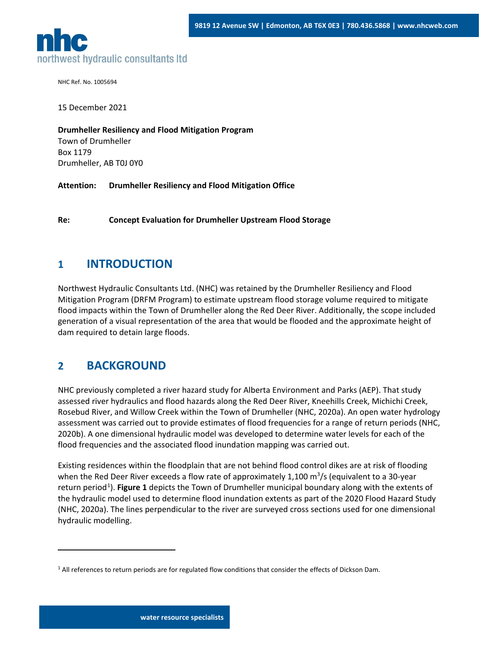

NHC Ref. No. 1005694

15 December 2021

**Drumheller Resiliency and Flood Mitigation Program** Town of Drumheller Box 1179 Drumheller, AB T0J 0Y0

**Attention: Drumheller Resiliency and Flood Mitigation Office**

**Re: Concept Evaluation for Drumheller Upstream Flood Storage**

## **1 INTRODUCTION**

Northwest Hydraulic Consultants Ltd. (NHC) was retained by the Drumheller Resiliency and Flood Mitigation Program (DRFM Program) to estimate upstream flood storage volume required to mitigate flood impacts within the Town of Drumheller along the Red Deer River. Additionally, the scope included generation of a visual representation of the area that would be flooded and the approximate height of dam required to detain large floods.

## **2 BACKGROUND**

NHC previously completed a river hazard study for Alberta Environment and Parks (AEP). That study assessed river hydraulics and flood hazards along the Red Deer River, Kneehills Creek, Michichi Creek, Rosebud River, and Willow Creek within the Town of Drumheller (NHC, 2020a). An open water hydrology assessment was carried out to provide estimates of flood frequencies for a range of return periods (NHC, 2020b). A one dimensional hydraulic model was developed to determine water levels for each of the flood frequencies and the associated flood inundation mapping was carried out.

Existing residences within the floodplain that are not behind flood control dikes are at risk of flooding when the Red Deer River exceeds a flow rate of approximately 1,100  $\text{m}^3\text{/s}$  (equivalent to a 30-year return period<sup>[1](#page-0-0)</sup>). Figure 1 depicts the Town of Drumheller municipal boundary along with the extents of the hydraulic model used to determine flood inundation extents as part of the 2020 Flood Hazard Study (NHC, 2020a). The lines perpendicular to the river are surveyed cross sections used for one dimensional hydraulic modelling.

<span id="page-0-0"></span><sup>&</sup>lt;sup>1</sup> All references to return periods are for regulated flow conditions that consider the effects of Dickson Dam.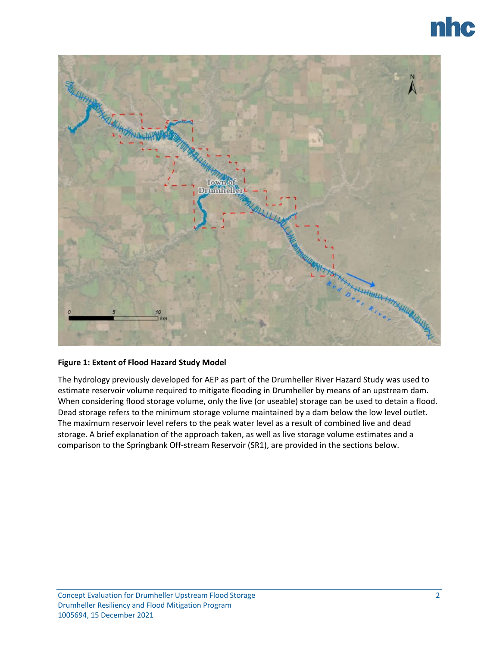# **nhc**



#### **Figure 1: Extent of Flood Hazard Study Model**

The hydrology previously developed for AEP as part of the Drumheller River Hazard Study was used to estimate reservoir volume required to mitigate flooding in Drumheller by means of an upstream dam. When considering flood storage volume, only the live (or useable) storage can be used to detain a flood. Dead storage refers to the minimum storage volume maintained by a dam below the low level outlet. The maximum reservoir level refers to the peak water level as a result of combined live and dead storage. A brief explanation of the approach taken, as well as live storage volume estimates and a comparison to the Springbank Off-stream Reservoir (SR1), are provided in the sections below.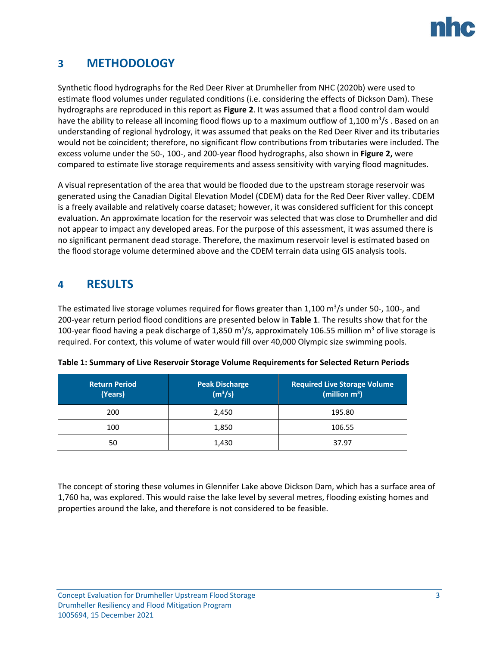

# **3 METHODOLOGY**

Synthetic flood hydrographs for the Red Deer River at Drumheller from NHC (2020b) were used to estimate flood volumes under regulated conditions (i.e. considering the effects of Dickson Dam). These hydrographs are reproduced in this report as **Figure 2**. It was assumed that a flood control dam would have the ability to release all incoming flood flows up to a maximum outflow of 1,100 m<sup>3</sup>/s . Based on an understanding of regional hydrology, it was assumed that peaks on the Red Deer River and its tributaries would not be coincident; therefore, no significant flow contributions from tributaries were included. The excess volume under the 50-, 100-, and 200-year flood hydrographs, also shown in **Figure 2,** were compared to estimate live storage requirements and assess sensitivity with varying flood magnitudes.

A visual representation of the area that would be flooded due to the upstream storage reservoir was generated using the Canadian Digital Elevation Model (CDEM) data for the Red Deer River valley. CDEM is a freely available and relatively coarse dataset; however, it was considered sufficient for this concept evaluation. An approximate location for the reservoir was selected that was close to Drumheller and did not appear to impact any developed areas. For the purpose of this assessment, it was assumed there is no significant permanent dead storage. Therefore, the maximum reservoir level is estimated based on the flood storage volume determined above and the CDEM terrain data using GIS analysis tools.

## **4 RESULTS**

The estimated live storage volumes required for flows greater than 1,100 m<sup>3</sup>/s under 50-, 100-, and 200-year return period flood conditions are presented below in **[Table 1](#page-2-0)**. The results show that for the 100-year flood having a peak discharge of 1,850 m<sup>3</sup>/s, approximately 106.55 million m<sup>3</sup> of live storage is required. For context, this volume of water would fill over 40,000 Olympic size swimming pools.

| <b>Return Period</b><br>(Years) | <b>Peak Discharge</b><br>(m <sup>3</sup> /s) | <b>Required Live Storage Volume</b><br>(million $m^3$ ) |
|---------------------------------|----------------------------------------------|---------------------------------------------------------|
| 200                             | 2,450                                        | 195.80                                                  |
| 100                             | 1,850                                        | 106.55                                                  |
| 50                              | 1,430                                        | 37.97                                                   |

<span id="page-2-0"></span>

The concept of storing these volumes in Glennifer Lake above Dickson Dam, which has a surface area of 1,760 ha, was explored. This would raise the lake level by several metres, flooding existing homes and properties around the lake, and therefore is not considered to be feasible.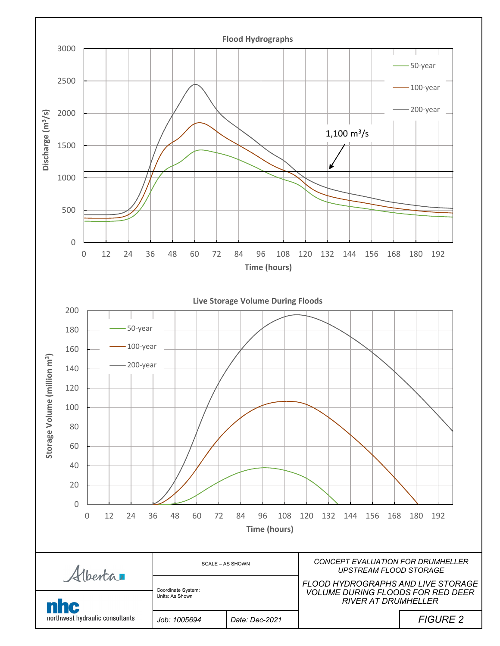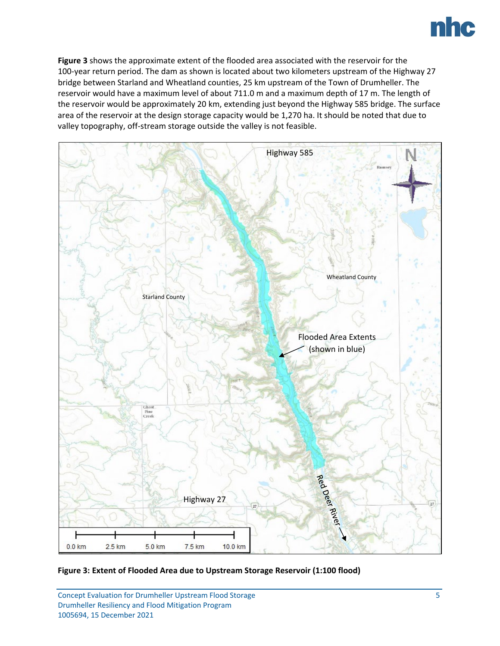

**[Figure 3](#page-4-0)** shows the approximate extent of the flooded area associated with the reservoir for the 100-year return period. The dam as shown is located about two kilometers upstream of the Highway 27 bridge between Starland and Wheatland counties, 25 km upstream of the Town of Drumheller. The reservoir would have a maximum level of about 711.0 m and a maximum depth of 17 m. The length of the reservoir would be approximately 20 km, extending just beyond the Highway 585 bridge. The surface area of the reservoir at the design storage capacity would be 1,270 ha. It should be noted that due to valley topography, off-stream storage outside the valley is not feasible.



<span id="page-4-0"></span>**Figure 3: Extent of Flooded Area due to Upstream Storage Reservoir (1:100 flood)**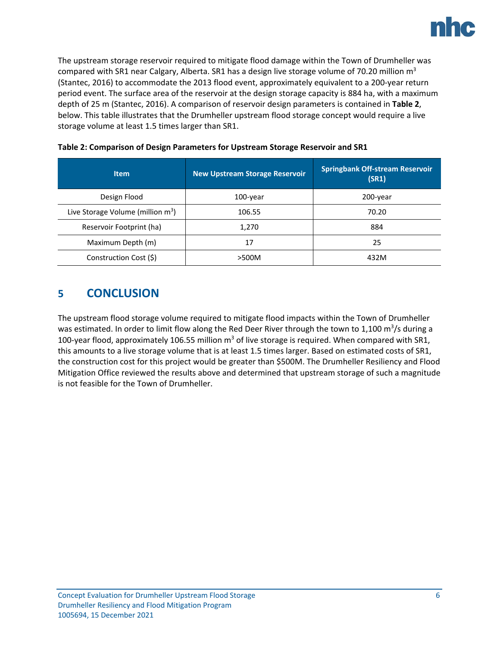

The upstream storage reservoir required to mitigate flood damage within the Town of Drumheller was compared with SR1 near Calgary, Alberta. SR1 has a design live storage volume of 70.20 million  $m<sup>3</sup>$ (Stantec, 2016) to accommodate the 2013 flood event, approximately equivalent to a 200-year return period event. The surface area of the reservoir at the design storage capacity is 884 ha, with a maximum depth of 25 m (Stantec, 2016). A comparison of reservoir design parameters is contained in **[Table 2](#page-5-0)**, below. This table illustrates that the Drumheller upstream flood storage concept would require a live storage volume at least 1.5 times larger than SR1.

| <b>Item</b>                          | <b>New Upstream Storage Reservoir</b> | <b>Springbank Off-stream Reservoir</b><br>(SR1) |
|--------------------------------------|---------------------------------------|-------------------------------------------------|
| Design Flood                         | $100$ -year                           | 200-year                                        |
| Live Storage Volume (million $m^3$ ) | 106.55                                | 70.20                                           |
| Reservoir Footprint (ha)             | 1,270                                 | 884                                             |
| Maximum Depth (m)                    | 17                                    | 25                                              |
| Construction Cost (\$)               | >500M                                 | 432M                                            |

#### <span id="page-5-0"></span>**Table 2: Comparison of Design Parameters for Upstream Storage Reservoir and SR1**

## **5 CONCLUSION**

The upstream flood storage volume required to mitigate flood impacts within the Town of Drumheller was estimated. In order to limit flow along the Red Deer River through the town to 1,100 m<sup>3</sup>/s during a 100-year flood, approximately 106.55 million  $m<sup>3</sup>$  of live storage is required. When compared with SR1, this amounts to a live storage volume that is at least 1.5 times larger. Based on estimated costs of SR1, the construction cost for this project would be greater than \$500M. The Drumheller Resiliency and Flood Mitigation Office reviewed the results above and determined that upstream storage of such a magnitude is not feasible for the Town of Drumheller.